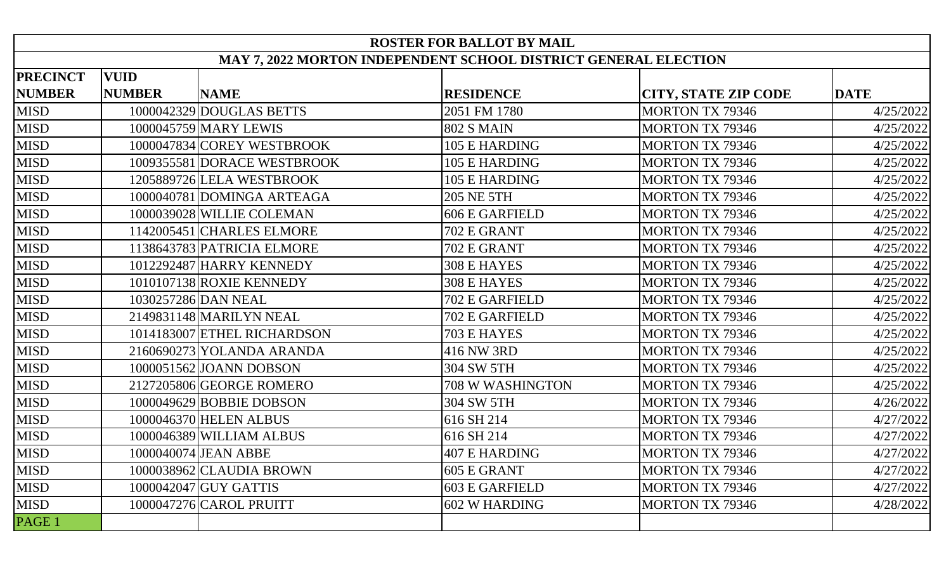| <b>ROSTER FOR BALLOT BY MAIL</b>                                |               |                             |                       |                             |             |  |  |  |  |
|-----------------------------------------------------------------|---------------|-----------------------------|-----------------------|-----------------------------|-------------|--|--|--|--|
| MAY 7, 2022 MORTON INDEPENDENT SCHOOL DISTRICT GENERAL ELECTION |               |                             |                       |                             |             |  |  |  |  |
| <b>PRECINCT</b>                                                 | <b>VUID</b>   |                             |                       |                             |             |  |  |  |  |
| <b>NUMBER</b>                                                   | <b>NUMBER</b> | <b>NAME</b>                 | <b>RESIDENCE</b>      | <b>CITY, STATE ZIP CODE</b> | <b>DATE</b> |  |  |  |  |
| <b>MISD</b>                                                     |               | 1000042329 DOUGLAS BETTS    | 2051 FM 1780          | <b>MORTON TX 79346</b>      | 4/25/2022   |  |  |  |  |
| <b>MISD</b>                                                     |               | 1000045759 MARY LEWIS       | <b>802 S MAIN</b>     | <b>MORTON TX 79346</b>      | 4/25/2022   |  |  |  |  |
| <b>MISD</b>                                                     |               | 1000047834 COREY WESTBROOK  | 105 E HARDING         | <b>MORTON TX 79346</b>      | 4/25/2022   |  |  |  |  |
| <b>MISD</b>                                                     |               | 1009355581 DORACE WESTBROOK | 105 E HARDING         | <b>MORTON TX 79346</b>      | 4/25/2022   |  |  |  |  |
| <b>MISD</b>                                                     |               | 1205889726 LELA WESTBROOK   | 105 E HARDING         | <b>MORTON TX 79346</b>      | 4/25/2022   |  |  |  |  |
| <b>MISD</b>                                                     |               | 1000040781 DOMINGA ARTEAGA  | 205 NE 5TH            | <b>MORTON TX 79346</b>      | 4/25/2022   |  |  |  |  |
| <b>MISD</b>                                                     |               | 1000039028 WILLIE COLEMAN   | 606 E GARFIELD        | <b>MORTON TX 79346</b>      | 4/25/2022   |  |  |  |  |
| <b>MISD</b>                                                     |               | 1142005451 CHARLES ELMORE   | 702 E GRANT           | <b>MORTON TX 79346</b>      | 4/25/2022   |  |  |  |  |
| <b>MISD</b>                                                     |               | 1138643783 PATRICIA ELMORE  | 702 E GRANT           | <b>MORTON TX 79346</b>      | 4/25/2022   |  |  |  |  |
| <b>MISD</b>                                                     |               | 1012292487 HARRY KENNEDY    | 308 E HAYES           | <b>MORTON TX 79346</b>      | 4/25/2022   |  |  |  |  |
| <b>MISD</b>                                                     |               | 1010107138 ROXIE KENNEDY    | 308 E HAYES           | <b>MORTON TX 79346</b>      | 4/25/2022   |  |  |  |  |
| <b>MISD</b>                                                     |               | 1030257286 DAN NEAL         | <b>702 E GARFIELD</b> | <b>MORTON TX 79346</b>      | 4/25/2022   |  |  |  |  |
| <b>MISD</b>                                                     |               | 2149831148 MARILYN NEAL     | 702 E GARFIELD        | <b>MORTON TX 79346</b>      | 4/25/2022   |  |  |  |  |
| <b>MISD</b>                                                     |               | 1014183007 ETHEL RICHARDSON | 703 E HAYES           | <b>MORTON TX 79346</b>      | 4/25/2022   |  |  |  |  |
| <b>MISD</b>                                                     |               | 2160690273 YOLANDA ARANDA   | 416 NW 3RD            | <b>MORTON TX 79346</b>      | 4/25/2022   |  |  |  |  |
| <b>MISD</b>                                                     |               | 1000051562 JOANN DOBSON     | 304 SW 5TH            | <b>MORTON TX 79346</b>      | 4/25/2022   |  |  |  |  |
| <b>MISD</b>                                                     |               | 2127205806 GEORGE ROMERO    | 708 W WASHINGTON      | <b>MORTON TX 79346</b>      | 4/25/2022   |  |  |  |  |
| <b>MISD</b>                                                     |               | 1000049629 BOBBIE DOBSON    | 304 SW 5TH            | <b>MORTON TX 79346</b>      | 4/26/2022   |  |  |  |  |
| <b>MISD</b>                                                     |               | 1000046370 HELEN ALBUS      | 616 SH 214            | <b>MORTON TX 79346</b>      | 4/27/2022   |  |  |  |  |
| <b>MISD</b>                                                     |               | 1000046389 WILLIAM ALBUS    | 616 SH 214            | <b>MORTON TX 79346</b>      | 4/27/2022   |  |  |  |  |
| <b>MISD</b>                                                     |               | 1000040074 JEAN ABBE        | 407 E HARDING         | <b>MORTON TX 79346</b>      | 4/27/2022   |  |  |  |  |
| <b>MISD</b>                                                     |               | 1000038962 CLAUDIA BROWN    | 605 E GRANT           | <b>MORTON TX 79346</b>      | 4/27/2022   |  |  |  |  |
| <b>MISD</b>                                                     |               | 1000042047 GUY GATTIS       | 603 E GARFIELD        | <b>MORTON TX 79346</b>      | 4/27/2022   |  |  |  |  |
| <b>MISD</b>                                                     |               | 1000047276 CAROL PRUITT     | 602 W HARDING         | <b>MORTON TX 79346</b>      | 4/28/2022   |  |  |  |  |
| PAGE 1                                                          |               |                             |                       |                             |             |  |  |  |  |